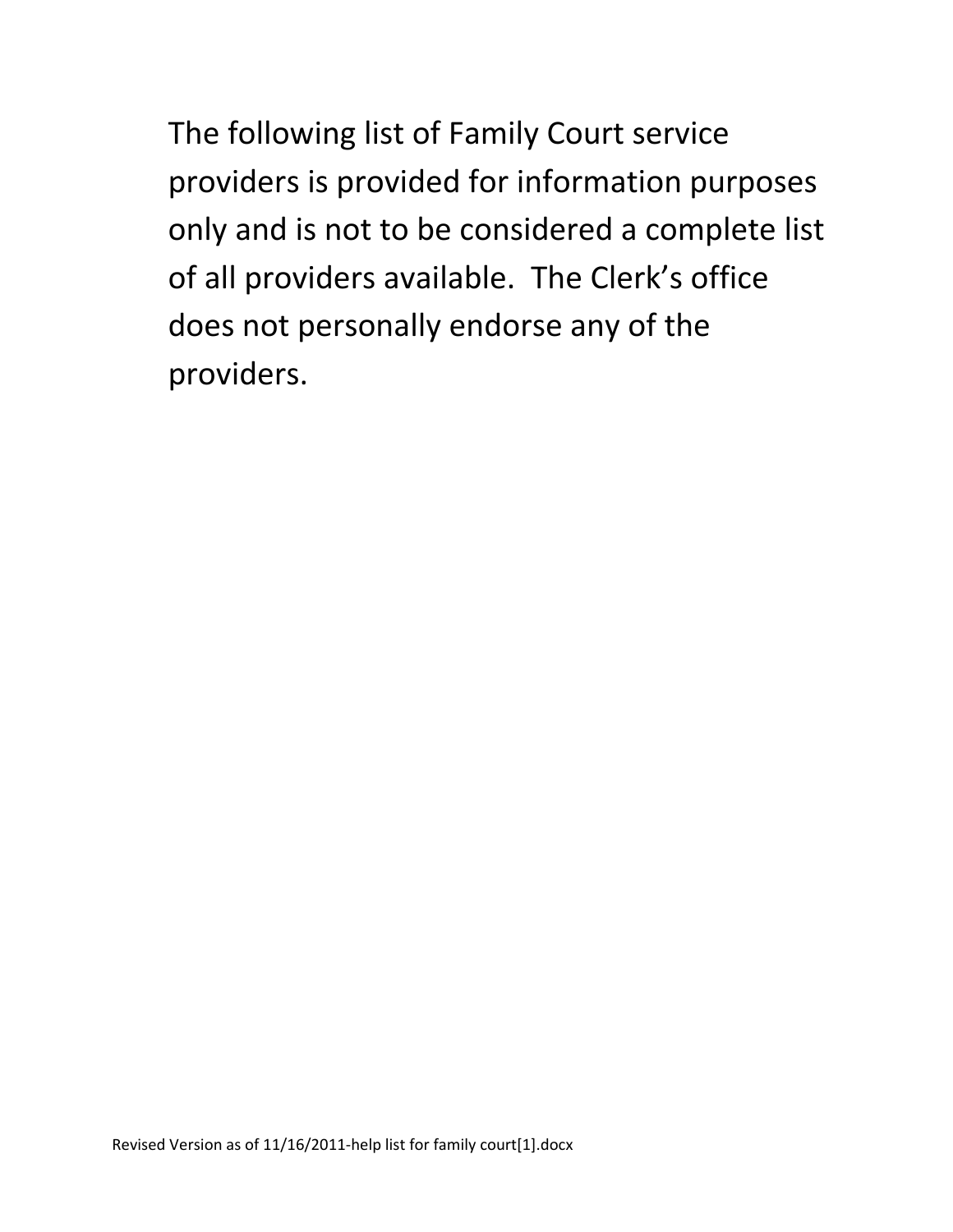The following list of Family Court service providers is provided for information purposes only and is not to be considered a complete list of all providers available. The Clerk's office does not personally endorse any of the providers.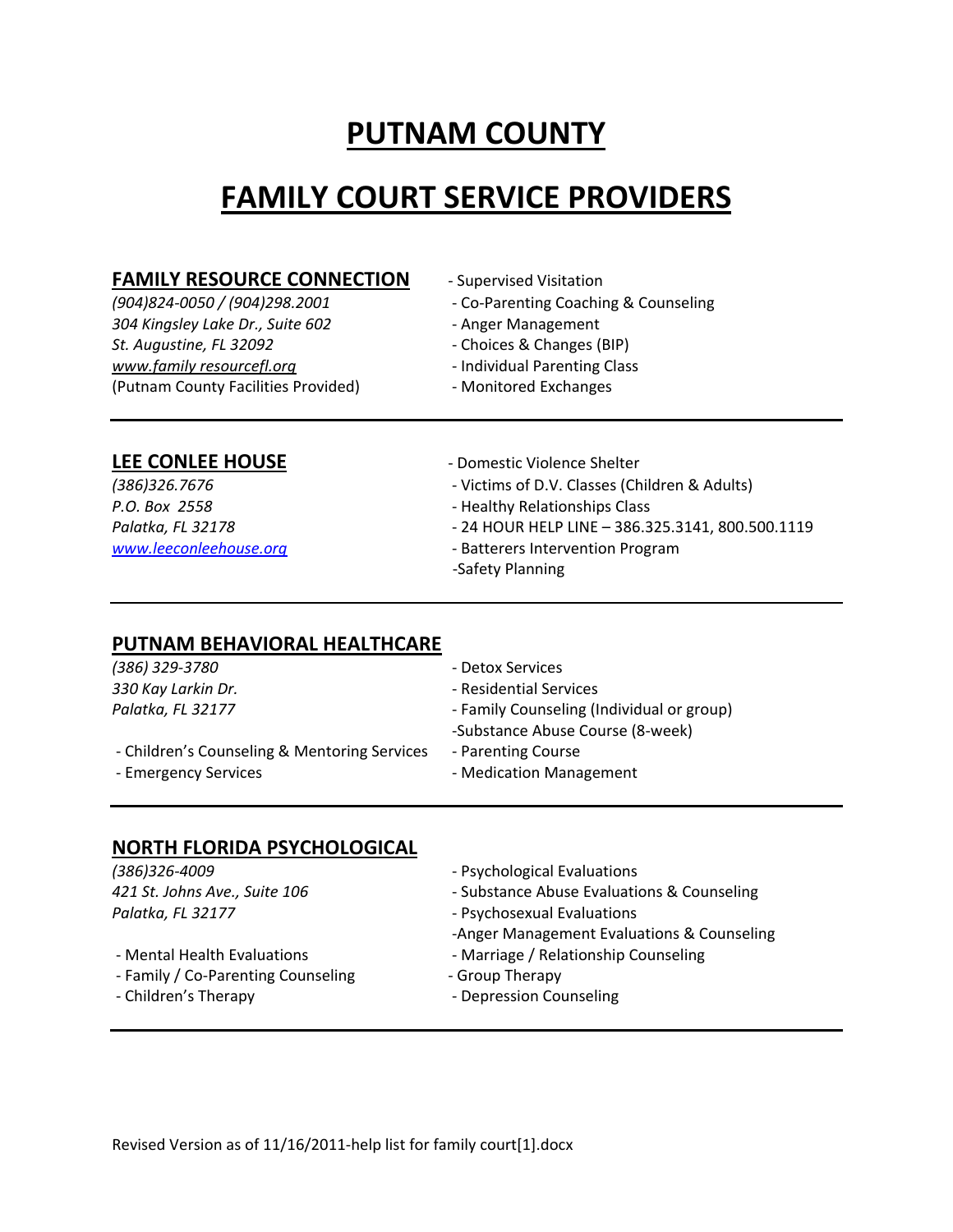# **PUTNAM COUNTY**

# **FAMILY COURT SERVICE PROVIDERS**

#### **FAMILY RESOURCE CONNECTION** ‐ Supervised Visitation

*304 Kingsley Lake Dr., Suite 602* ‐ Anger Management *St. Augustine, FL 32092* ‐ Choices & Changes (BIP) *www.family resourcefl.org* ‐ Individual Parenting Class (Putnam County Facilities Provided) ‐ Monitored Exchanges

- *(904)824‐0050 / (904)298.2001* ‐ Co‐Parenting Coaching & Counseling
	-
	-
	-
	-

#### **LEE CONLEE HOUSE** ‐ Domestic Violence Shelter

- *(386)326.7676* ‐ Victims of D.V. Classes (Children & Adults)
- *P.O. Box 2558* ‐ Healthy Relationships Class
- *Palatka, FL 32178* ‐ 24 HOUR HELP LINE 386.325.3141, 800.500.1119
- *www.leeconleehouse.org* ‐ Batterers Intervention Program
	- ‐Safety Planning

#### **PUTNAM BEHAVIORAL HEALTHCARE**

| (386) 329-3780                               | - Detox Services                          |
|----------------------------------------------|-------------------------------------------|
| 330 Kay Larkin Dr.                           | - Residential Services                    |
| Palatka, FL 32177                            | - Family Counseling (Individual or group) |
|                                              | -Substance Abuse Course (8-week)          |
| - Children's Counseling & Mentoring Services | - Parenting Course                        |
| - Emergency Services                         | - Medication Management                   |
|                                              |                                           |

#### **NORTH FLORIDA PSYCHOLOGICAL**

| - Psychological Evaluations                |
|--------------------------------------------|
| - Substance Abuse Evaluations & Counseling |
| - Psychosexual Evaluations                 |
| -Anger Management Evaluations & Counseling |
| - Marriage / Relationship Counseling       |
| - Group Therapy                            |
| - Depression Counseling                    |
|                                            |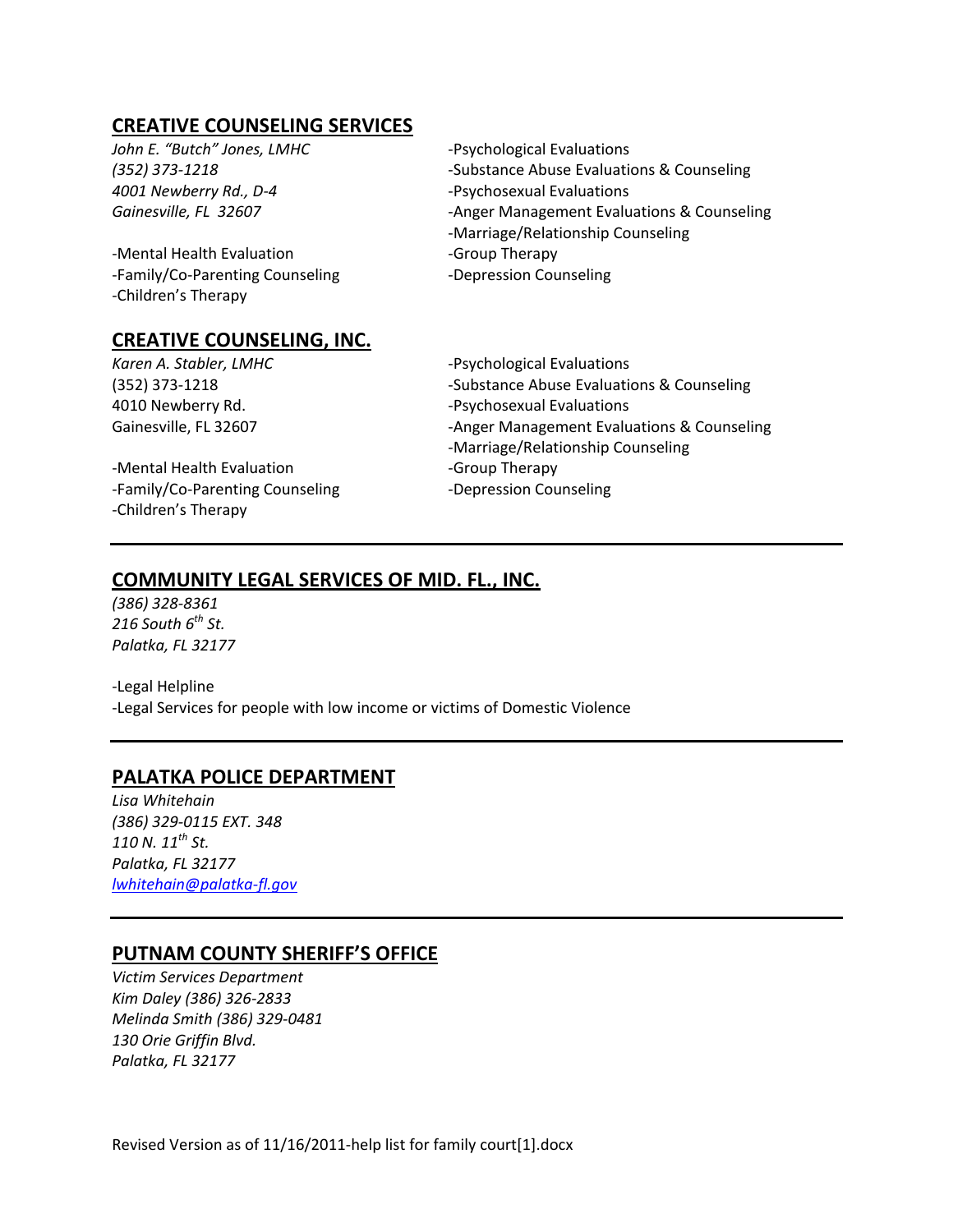# **CREATIVE COUNSELING SERVICES**

*John E. "Butch" Jones, LMHC*  ‐Psychological Evaluations *4001 Newberry Rd., D‐4*  ‐Psychosexual Evaluations

‐Mental Health Evaluation ‐Group Therapy ‐Family/Co‐Parenting Counseling ‐Depression Counseling ‐Children's Therapy

#### **CREATIVE COUNSELING, INC.**

‐Mental Health Evaluation ‐Group Therapy ‐Family/Co‐Parenting Counseling ‐Depression Counseling ‐Children's Therapy

*(352) 373‐1218*  ‐Substance Abuse Evaluations & Counseling *Gainesville, FL 32607*  ‐Anger Management Evaluations & Counseling ‐Marriage/Relationship Counseling

*Karen A. Stabler, LMHC*  ‐Psychological Evaluations (352) 373‐1218 ‐Substance Abuse Evaluations & Counseling 4010 Newberry Rd. ‐Psychosexual Evaluations Gainesville, FL 32607 ‐Anger Management Evaluations & Counseling ‐Marriage/Relationship Counseling

# **COMMUNITY LEGAL SERVICES OF MID. FL., INC.**

*(386) 328‐8361 216 South 6th St. Palatka, FL 32177*

‐Legal Helpline ‐Legal Services for people with low income or victims of Domestic Violence

# **PALATKA POLICE DEPARTMENT**

*Lisa Whitehain (386) 329‐0115 EXT. 348 110 N. 11th St. Palatka, FL 32177 lwhitehain@palatka‐fl.gov*

# **PUTNAM COUNTY SHERIFF'S OFFICE**

*Victim Services Department Kim Daley (386) 326‐2833 Melinda Smith (386) 329‐0481 130 Orie Griffin Blvd. Palatka, FL 32177* 

Revised Version as of 11/16/2011‐help list for family court[1].docx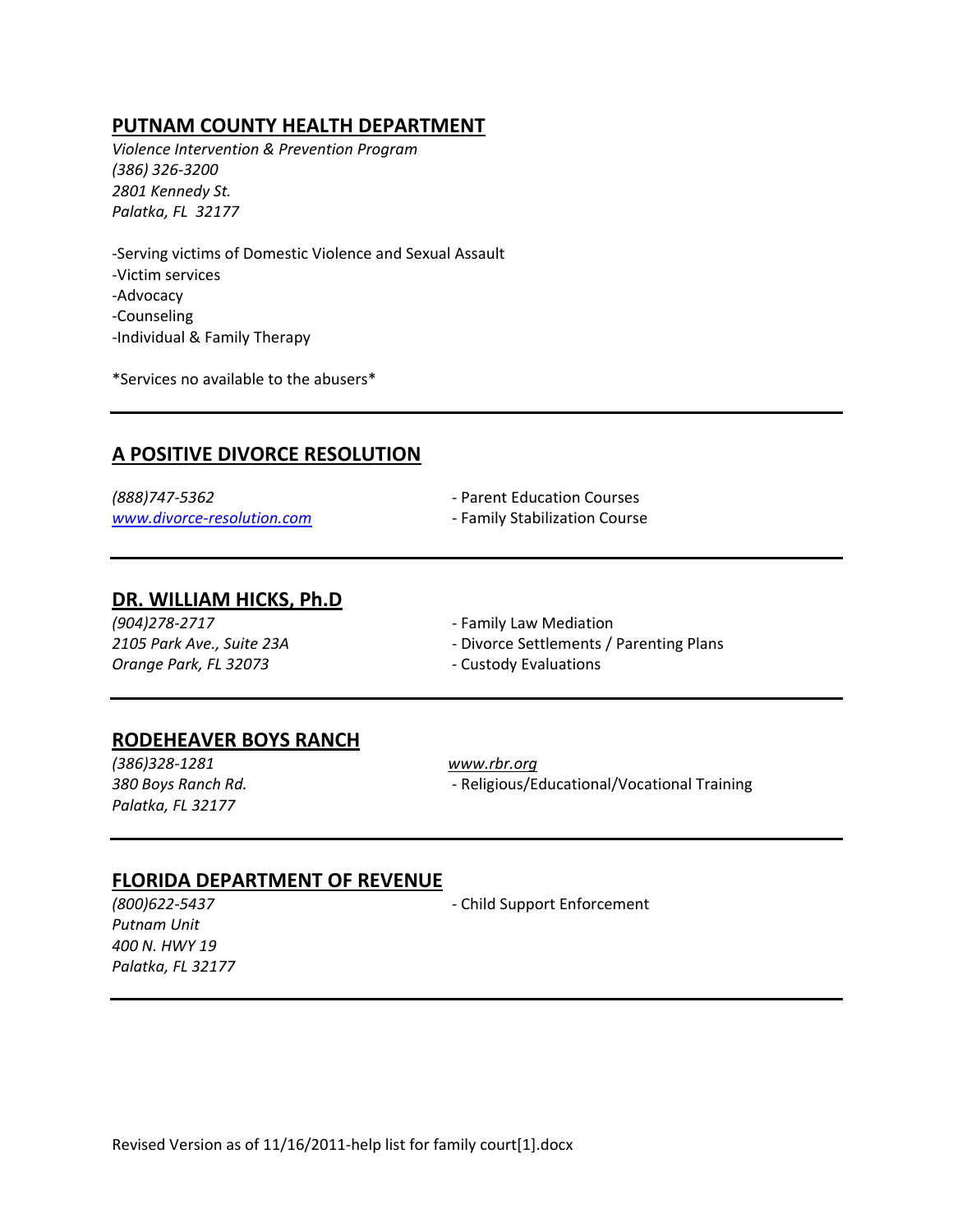# **PUTNAM COUNTY HEALTH DEPARTMENT**

*Violence Intervention & Prevention Program (386) 326‐3200 2801 Kennedy St. Palatka, FL 32177*

‐Serving victims of Domestic Violence and Sexual Assault ‐Victim services ‐Advocacy ‐Counseling ‐Individual & Family Therapy

\*Services no available to the abusers\*

# **A POSITIVE DIVORCE RESOLUTION**

*(888)747‐5362* ‐ Parent Education Courses *www.divorce‐resolution.com* ‐ Family Stabilization Course

#### **DR. WILLIAM HICKS, Ph.D**

*(904)278‐2717* ‐ Family Law Mediation *Orange Park, FL 32073* ‐ Custody Evaluations

- *2105 Park Ave., Suite 23A* ‐ Divorce Settlements / Parenting Plans
	-

#### **RODEHEAVER BOYS RANCH**

*(386)328‐1281 www.rbr.org Palatka, FL 32177* 

*380 Boys Ranch Rd.* ‐ Religious/Educational/Vocational Training

#### **FLORIDA DEPARTMENT OF REVENUE**

*Putnam Unit 400 N. HWY 19 Palatka, FL 32177*

*(800)622‐5437* ‐ Child Support Enforcement